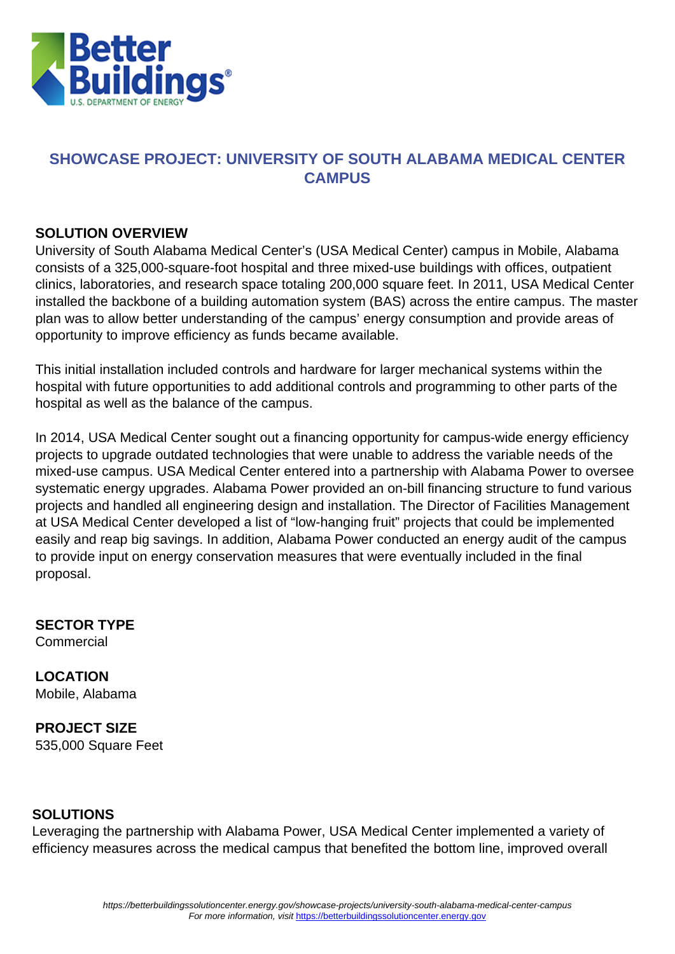

## **SHOWCASE PROJECT: UNIVERSITY OF SOUTH ALABAMA MEDICAL CENTER CAMPUS**

## **SOLUTION OVERVIEW**

University of South Alabama Medical Center's (USA Medical Center) campus in Mobile, Alabama consists of a 325,000-square-foot hospital and three mixed-use buildings with offices, outpatient clinics, laboratories, and research space totaling 200,000 square feet. In 2011, USA Medical Center installed the backbone of a building automation system (BAS) across the entire campus. The master plan was to allow better understanding of the campus' energy consumption and provide areas of opportunity to improve efficiency as funds became available.

This initial installation included controls and hardware for larger mechanical systems within the hospital with future opportunities to add additional controls and programming to other parts of the hospital as well as the balance of the campus.

In 2014, USA Medical Center sought out a financing opportunity for campus-wide energy efficiency projects to upgrade outdated technologies that were unable to address the variable needs of the mixed-use campus. USA Medical Center entered into a partnership with Alabama Power to oversee systematic energy upgrades. Alabama Power provided an on-bill financing structure to fund various projects and handled all engineering design and installation. The Director of Facilities Management at USA Medical Center developed a list of "low-hanging fruit" projects that could be implemented easily and reap big savings. In addition, Alabama Power conducted an energy audit of the campus to provide input on energy conservation measures that were eventually included in the final proposal.

**SECTOR TYPE Commercial** 

**LOCATION** Mobile, Alabama

**PROJECT SIZE** 535,000 Square Feet

## **SOLUTIONS**

Leveraging the partnership with Alabama Power, USA Medical Center implemented a variety of efficiency measures across the medical campus that benefited the bottom line, improved overall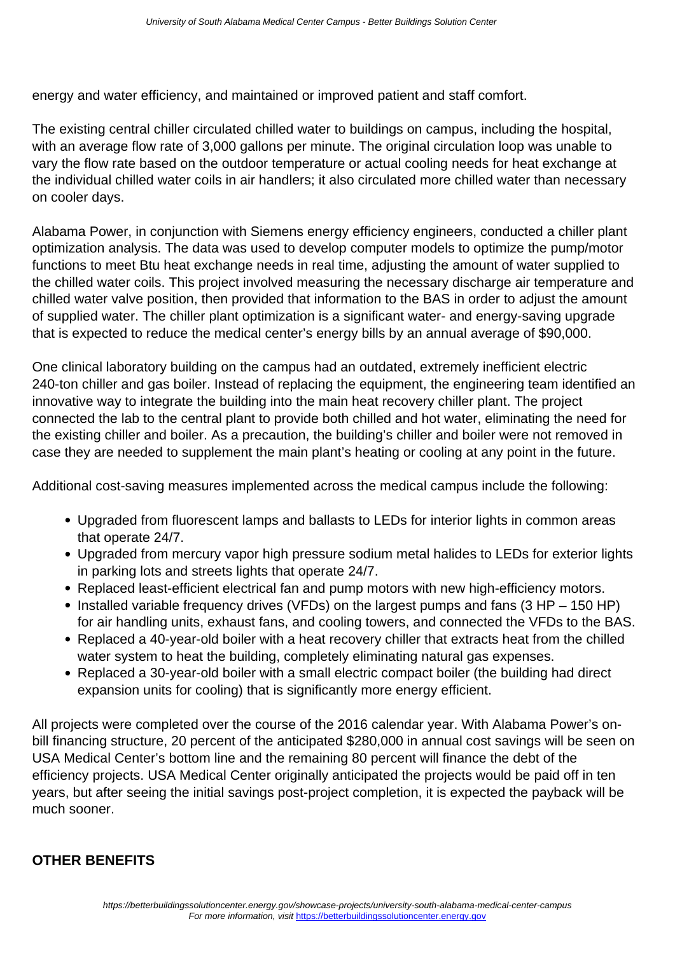energy and water efficiency, and maintained or improved patient and staff comfort.

The existing central chiller circulated chilled water to buildings on campus, including the hospital, with an average flow rate of 3,000 gallons per minute. The original circulation loop was unable to vary the flow rate based on the outdoor temperature or actual cooling needs for heat exchange at the individual chilled water coils in air handlers; it also circulated more chilled water than necessary on cooler days.

Alabama Power, in conjunction with Siemens energy efficiency engineers, conducted a chiller plant optimization analysis. The data was used to develop computer models to optimize the pump/motor functions to meet Btu heat exchange needs in real time, adjusting the amount of water supplied to the chilled water coils. This project involved measuring the necessary discharge air temperature and chilled water valve position, then provided that information to the BAS in order to adjust the amount of supplied water. The chiller plant optimization is a significant water- and energy-saving upgrade that is expected to reduce the medical center's energy bills by an annual average of \$90,000.

One clinical laboratory building on the campus had an outdated, extremely inefficient electric 240-ton chiller and gas boiler. Instead of replacing the equipment, the engineering team identified an innovative way to integrate the building into the main heat recovery chiller plant. The project connected the lab to the central plant to provide both chilled and hot water, eliminating the need for the existing chiller and boiler. As a precaution, the building's chiller and boiler were not removed in case they are needed to supplement the main plant's heating or cooling at any point in the future.

Additional cost-saving measures implemented across the medical campus include the following:

- Upgraded from fluorescent lamps and ballasts to LEDs for interior lights in common areas that operate 24/7.
- Upgraded from mercury vapor high pressure sodium metal halides to LEDs for exterior lights in parking lots and streets lights that operate 24/7.
- Replaced least-efficient electrical fan and pump motors with new high-efficiency motors.
- Installed variable frequency drives (VFDs) on the largest pumps and fans (3 HP 150 HP) for air handling units, exhaust fans, and cooling towers, and connected the VFDs to the BAS.
- Replaced a 40-year-old boiler with a heat recovery chiller that extracts heat from the chilled water system to heat the building, completely eliminating natural gas expenses.
- Replaced a 30-year-old boiler with a small electric compact boiler (the building had direct expansion units for cooling) that is significantly more energy efficient.

All projects were completed over the course of the 2016 calendar year. With Alabama Power's onbill financing structure, 20 percent of the anticipated \$280,000 in annual cost savings will be seen on USA Medical Center's bottom line and the remaining 80 percent will finance the debt of the efficiency projects. USA Medical Center originally anticipated the projects would be paid off in ten years, but after seeing the initial savings post-project completion, it is expected the payback will be much sooner.

## **OTHER BENEFITS**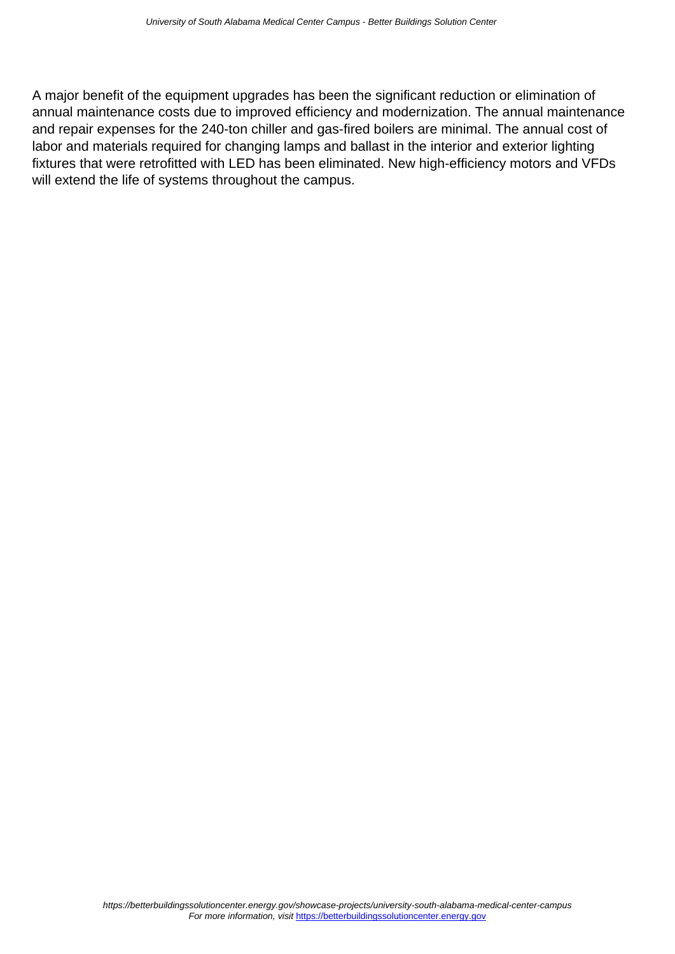A major benefit of the equipment upgrades has been the significant reduction or elimination of annual maintenance costs due to improved efficiency and modernization. The annual maintenance and repair expenses for the 240-ton chiller and gas-fired boilers are minimal. The annual cost of labor and materials required for changing lamps and ballast in the interior and exterior lighting fixtures that were retrofitted with LED has been eliminated. New high-efficiency motors and VFDs will extend the life of systems throughout the campus.